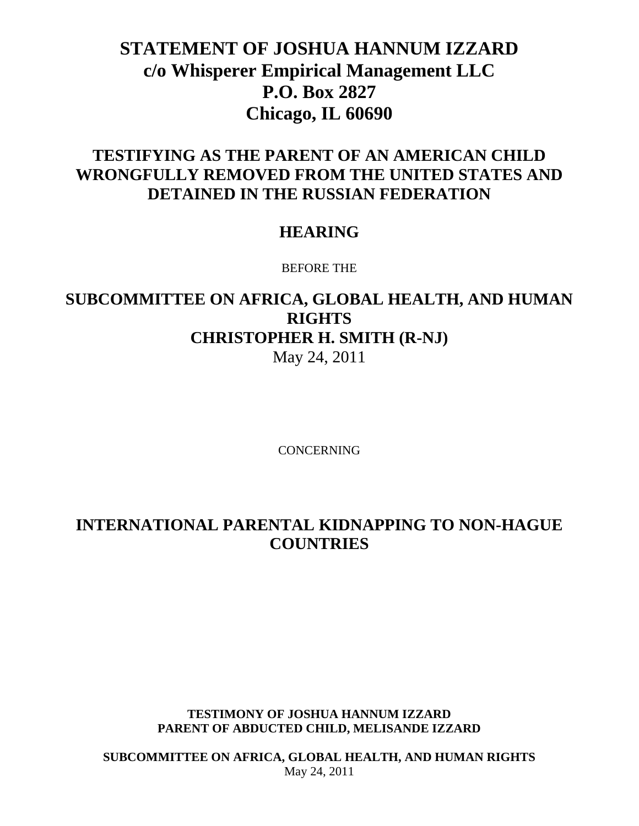# **STATEMENT OF JOSHUA HANNUM IZZARD c/o Whisperer Empirical Management LLC P.O. Box 2827 Chicago, IL 60690**

### **TESTIFYING AS THE PARENT OF AN AMERICAN CHILD WRONGFULLY REMOVED FROM THE UNITED STATES AND DETAINED IN THE RUSSIAN FEDERATION**

#### **HEARING**

BEFORE THE

## **SUBCOMMITTEE ON AFRICA, GLOBAL HEALTH, AND HUMAN RIGHTS CHRISTOPHER H. SMITH (R-NJ)** May 24, 2011

**CONCERNING** 

## **INTERNATIONAL PARENTAL KIDNAPPING TO NON-HAGUE COUNTRIES**

#### **TESTIMONY OF JOSHUA HANNUM IZZARD PARENT OF ABDUCTED CHILD, MELISANDE IZZARD**

**SUBCOMMITTEE ON AFRICA, GLOBAL HEALTH, AND HUMAN RIGHTS** May 24, 2011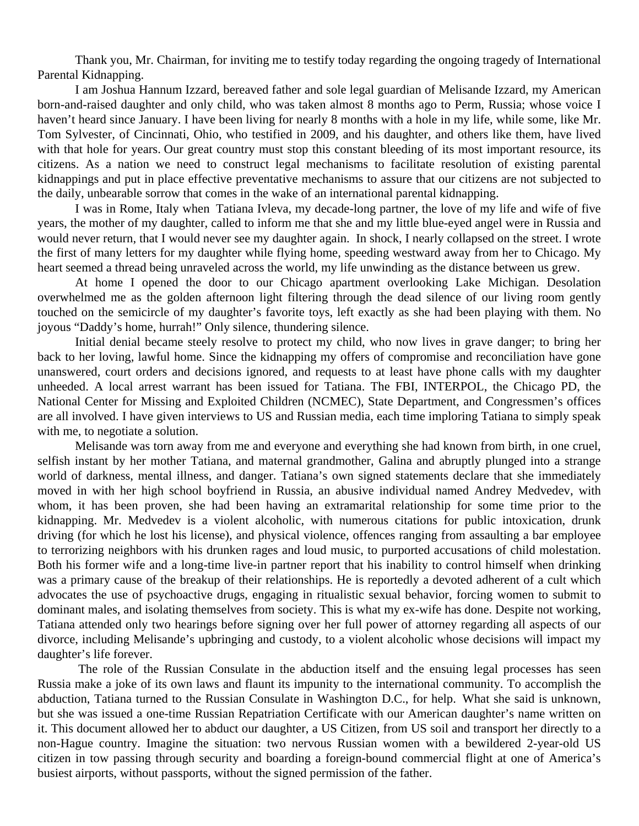Thank you, Mr. Chairman, for inviting me to testify today regarding the ongoing tragedy of International Parental Kidnapping.

I am Joshua Hannum Izzard, bereaved father and sole legal guardian of Melisande Izzard, my American born-and-raised daughter and only child, who was taken almost 8 months ago to Perm, Russia; whose voice I haven't heard since January. I have been living for nearly 8 months with a hole in my life, while some, like Mr. Tom Sylvester, of Cincinnati, Ohio, who testified in 2009, and his daughter, and others like them, have lived with that hole for years. Our great country must stop this constant bleeding of its most important resource, its citizens. As a nation we need to construct legal mechanisms to facilitate resolution of existing parental kidnappings and put in place effective preventative mechanisms to assure that our citizens are not subjected to the daily, unbearable sorrow that comes in the wake of an international parental kidnapping.

I was in Rome, Italy when Tatiana Ivleva, my decade-long partner, the love of my life and wife of five years, the mother of my daughter, called to inform me that she and my little blue-eyed angel were in Russia and would never return, that I would never see my daughter again. In shock, I nearly collapsed on the street. I wrote the first of many letters for my daughter while flying home, speeding westward away from her to Chicago. My heart seemed a thread being unraveled across the world, my life unwinding as the distance between us grew.

At home I opened the door to our Chicago apartment overlooking Lake Michigan. Desolation overwhelmed me as the golden afternoon light filtering through the dead silence of our living room gently touched on the semicircle of my daughter's favorite toys, left exactly as she had been playing with them. No joyous "Daddy's home, hurrah!" Only silence, thundering silence.

Initial denial became steely resolve to protect my child, who now lives in grave danger; to bring her back to her loving, lawful home. Since the kidnapping my offers of compromise and reconciliation have gone unanswered, court orders and decisions ignored, and requests to at least have phone calls with my daughter unheeded. A local arrest warrant has been issued for Tatiana. The FBI, INTERPOL, the Chicago PD, the National Center for Missing and Exploited Children (NCMEC), State Department, and Congressmen's offices are all involved. I have given interviews to US and Russian media, each time imploring Tatiana to simply speak with me, to negotiate a solution.

Melisande was torn away from me and everyone and everything she had known from birth, in one cruel, selfish instant by her mother Tatiana, and maternal grandmother, Galina and abruptly plunged into a strange world of darkness, mental illness, and danger. Tatiana's own signed statements declare that she immediately moved in with her high school boyfriend in Russia, an abusive individual named Andrey Medvedev, with whom, it has been proven, she had been having an extramarital relationship for some time prior to the kidnapping. Mr. Medvedev is a violent alcoholic, with numerous citations for public intoxication, drunk driving (for which he lost his license), and physical violence, offences ranging from assaulting a bar employee to terrorizing neighbors with his drunken rages and loud music, to purported accusations of child molestation. Both his former wife and a long-time live-in partner report that his inability to control himself when drinking was a primary cause of the breakup of their relationships. He is reportedly a devoted adherent of a cult which advocates the use of psychoactive drugs, engaging in ritualistic sexual behavior, forcing women to submit to dominant males, and isolating themselves from society. This is what my ex-wife has done. Despite not working, Tatiana attended only two hearings before signing over her full power of attorney regarding all aspects of our divorce, including Melisande's upbringing and custody, to a violent alcoholic whose decisions will impact my daughter's life forever.

 The role of the Russian Consulate in the abduction itself and the ensuing legal processes has seen Russia make a joke of its own laws and flaunt its impunity to the international community. To accomplish the abduction, Tatiana turned to the Russian Consulate in Washington D.C., for help. What she said is unknown, but she was issued a one-time Russian Repatriation Certificate with our American daughter's name written on it. This document allowed her to abduct our daughter, a US Citizen, from US soil and transport her directly to a non-Hague country. Imagine the situation: two nervous Russian women with a bewildered 2-year-old US citizen in tow passing through security and boarding a foreign-bound commercial flight at one of America's busiest airports, without passports, without the signed permission of the father.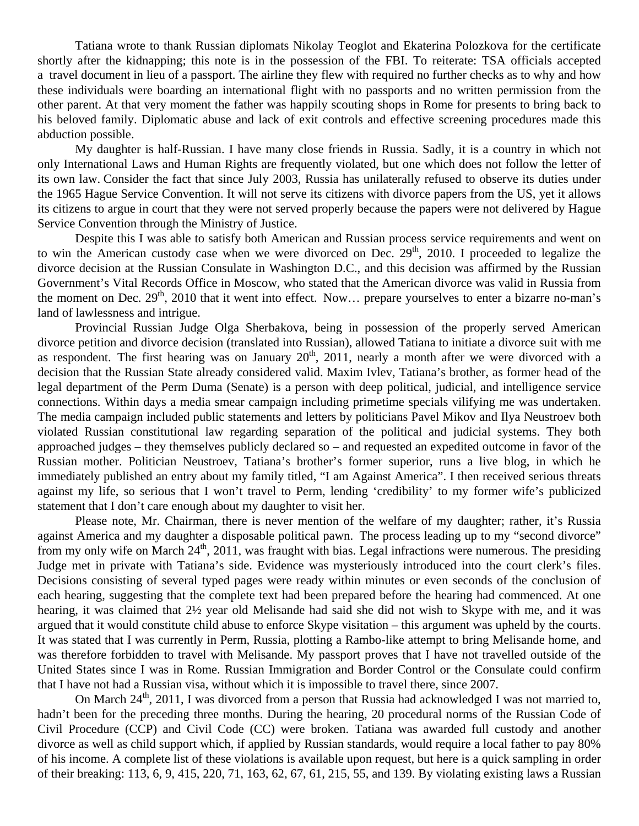Tatiana wrote to thank Russian diplomats Nikolay Teoglot and Ekaterina Polozkova for the certificate shortly after the kidnapping; this note is in the possession of the FBI. To reiterate: TSA officials accepted a travel document in lieu of a passport. The airline they flew with required no further checks as to why and how these individuals were boarding an international flight with no passports and no written permission from the other parent. At that very moment the father was happily scouting shops in Rome for presents to bring back to his beloved family. Diplomatic abuse and lack of exit controls and effective screening procedures made this abduction possible.

My daughter is half-Russian. I have many close friends in Russia. Sadly, it is a country in which not only International Laws and Human Rights are frequently violated, but one which does not follow the letter of its own law. Consider the fact that since July 2003, Russia has unilaterally refused to observe its duties under the 1965 Hague Service Convention. It will not serve its citizens with divorce papers from the US, yet it allows its citizens to argue in court that they were not served properly because the papers were not delivered by Hague Service Convention through the Ministry of Justice.

Despite this I was able to satisfy both American and Russian process service requirements and went on to win the American custody case when we were divorced on Dec.  $29<sup>th</sup>$ , 2010. I proceeded to legalize the divorce decision at the Russian Consulate in Washington D.C., and this decision was affirmed by the Russian Government's Vital Records Office in Moscow, who stated that the American divorce was valid in Russia from the moment on Dec.  $29<sup>th</sup>$ , 2010 that it went into effect. Now... prepare yourselves to enter a bizarre no-man's land of lawlessness and intrigue.

Provincial Russian Judge Olga Sherbakova, being in possession of the properly served American divorce petition and divorce decision (translated into Russian), allowed Tatiana to initiate a divorce suit with me as respondent. The first hearing was on January  $20<sup>th</sup>$ , 2011, nearly a month after we were divorced with a decision that the Russian State already considered valid. Maxim Ivlev, Tatiana's brother, as former head of the legal department of the Perm Duma (Senate) is a person with deep political, judicial, and intelligence service connections. Within days a media smear campaign including primetime specials vilifying me was undertaken. The media campaign included public statements and letters by politicians Pavel Mikov and Ilya Neustroev both violated Russian constitutional law regarding separation of the political and judicial systems. They both approached judges – they themselves publicly declared so – and requested an expedited outcome in favor of the Russian mother. Politician Neustroev, Tatiana's brother's former superior, runs a live blog, in which he immediately published an entry about my family titled, "I am Against America". I then received serious threats against my life, so serious that I won't travel to Perm, lending 'credibility' to my former wife's publicized statement that I don't care enough about my daughter to visit her.

Please note, Mr. Chairman, there is never mention of the welfare of my daughter; rather, it's Russia against America and my daughter a disposable political pawn. The process leading up to my "second divorce" from my only wife on March  $24<sup>th</sup>$ , 2011, was fraught with bias. Legal infractions were numerous. The presiding Judge met in private with Tatiana's side. Evidence was mysteriously introduced into the court clerk's files. Decisions consisting of several typed pages were ready within minutes or even seconds of the conclusion of each hearing, suggesting that the complete text had been prepared before the hearing had commenced. At one hearing, it was claimed that 2½ year old Melisande had said she did not wish to Skype with me, and it was argued that it would constitute child abuse to enforce Skype visitation – this argument was upheld by the courts. It was stated that I was currently in Perm, Russia, plotting a Rambo-like attempt to bring Melisande home, and was therefore forbidden to travel with Melisande. My passport proves that I have not travelled outside of the United States since I was in Rome. Russian Immigration and Border Control or the Consulate could confirm that I have not had a Russian visa, without which it is impossible to travel there, since 2007.

On March  $24<sup>th</sup>$ , 2011, I was divorced from a person that Russia had acknowledged I was not married to, hadn't been for the preceding three months. During the hearing, 20 procedural norms of the Russian Code of Civil Procedure (CCP) and Civil Code (CC) were broken. Tatiana was awarded full custody and another divorce as well as child support which, if applied by Russian standards, would require a local father to pay 80% of his income. A complete list of these violations is available upon request, but here is a quick sampling in order of their breaking: 113, 6, 9, 415, 220, 71, 163, 62, 67, 61, 215, 55, and 139. By violating existing laws a Russian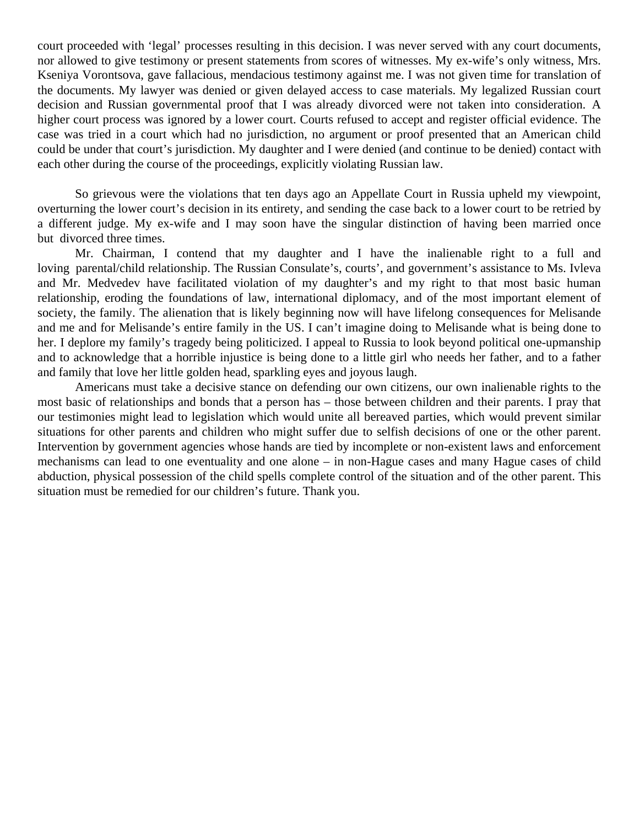court proceeded with 'legal' processes resulting in this decision. I was never served with any court documents, nor allowed to give testimony or present statements from scores of witnesses. My ex-wife's only witness, Mrs. Kseniya Vorontsova, gave fallacious, mendacious testimony against me. I was not given time for translation of the documents. My lawyer was denied or given delayed access to case materials. My legalized Russian court decision and Russian governmental proof that I was already divorced were not taken into consideration. A higher court process was ignored by a lower court. Courts refused to accept and register official evidence. The case was tried in a court which had no jurisdiction, no argument or proof presented that an American child could be under that court's jurisdiction. My daughter and I were denied (and continue to be denied) contact with each other during the course of the proceedings, explicitly violating Russian law.

So grievous were the violations that ten days ago an Appellate Court in Russia upheld my viewpoint, overturning the lower court's decision in its entirety, and sending the case back to a lower court to be retried by a different judge. My ex-wife and I may soon have the singular distinction of having been married once but divorced three times.

Mr. Chairman, I contend that my daughter and I have the inalienable right to a full and loving parental/child relationship. The Russian Consulate's, courts', and government's assistance to Ms. Ivleva and Mr. Medvedev have facilitated violation of my daughter's and my right to that most basic human relationship, eroding the foundations of law, international diplomacy, and of the most important element of society, the family. The alienation that is likely beginning now will have lifelong consequences for Melisande and me and for Melisande's entire family in the US. I can't imagine doing to Melisande what is being done to her. I deplore my family's tragedy being politicized. I appeal to Russia to look beyond political one-upmanship and to acknowledge that a horrible injustice is being done to a little girl who needs her father, and to a father and family that love her little golden head, sparkling eyes and joyous laugh.

Americans must take a decisive stance on defending our own citizens, our own inalienable rights to the most basic of relationships and bonds that a person has – those between children and their parents. I pray that our testimonies might lead to legislation which would unite all bereaved parties, which would prevent similar situations for other parents and children who might suffer due to selfish decisions of one or the other parent. Intervention by government agencies whose hands are tied by incomplete or non-existent laws and enforcement mechanisms can lead to one eventuality and one alone – in non-Hague cases and many Hague cases of child abduction, physical possession of the child spells complete control of the situation and of the other parent. This situation must be remedied for our children's future. Thank you.